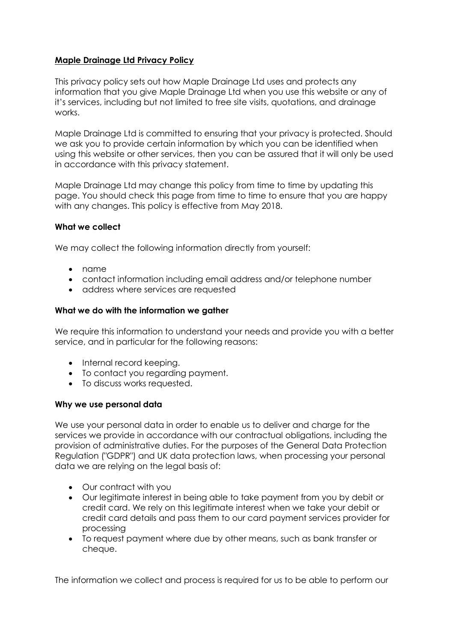## **Maple Drainage Ltd Privacy Policy**

This privacy policy sets out how Maple Drainage Ltd uses and protects any information that you give Maple Drainage Ltd when you use this website or any of it's services, including but not limited to free site visits, quotations, and drainage works.

Maple Drainage Ltd is committed to ensuring that your privacy is protected. Should we ask you to provide certain information by which you can be identified when using this website or other services, then you can be assured that it will only be used in accordance with this privacy statement.

Maple Drainage Ltd may change this policy from time to time by updating this page. You should check this page from time to time to ensure that you are happy with any changes. This policy is effective from May 2018.

### **What we collect**

We may collect the following information directly from yourself:

- name
- contact information including email address and/or telephone number
- address where services are requested

#### **What we do with the information we gather**

We require this information to understand your needs and provide you with a better service, and in particular for the following reasons:

- Internal record keeping.
- To contact you regarding payment.
- To discuss works requested.

#### **Why we use personal data**

We use your personal data in order to enable us to deliver and charge for the services we provide in accordance with our contractual obligations, including the provision of administrative duties. For the purposes of the General Data Protection Regulation ("GDPR") and UK data protection laws, when processing your personal data we are relying on the legal basis of:

- Our contract with you
- Our legitimate interest in being able to take payment from you by debit or credit card. We rely on this legitimate interest when we take your debit or credit card details and pass them to our card payment services provider for processing
- To request payment where due by other means, such as bank transfer or cheque.

The information we collect and process is required for us to be able to perform our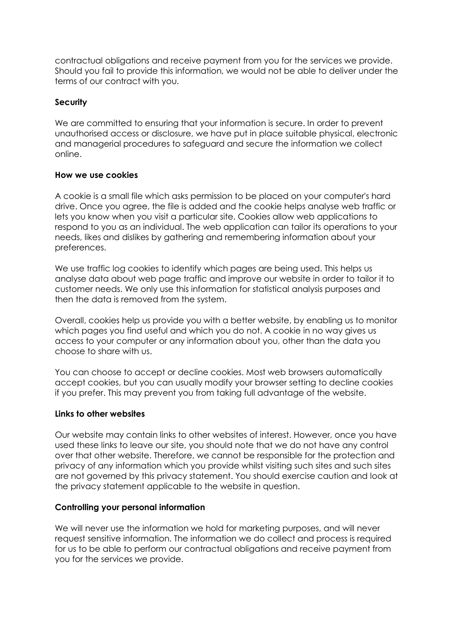contractual obligations and receive payment from you for the services we provide. Should you fail to provide this information, we would not be able to deliver under the terms of our contract with you.

### **Security**

We are committed to ensuring that your information is secure. In order to prevent unauthorised access or disclosure, we have put in place suitable physical, electronic and managerial procedures to safeguard and secure the information we collect online.

### **How we use cookies**

A cookie is a small file which asks permission to be placed on your computer's hard drive. Once you agree, the file is added and the cookie helps analyse web traffic or lets you know when you visit a particular site. Cookies allow web applications to respond to you as an individual. The web application can tailor its operations to your needs, likes and dislikes by gathering and remembering information about your preferences.

We use traffic log cookies to identify which pages are being used. This helps us analyse data about web page traffic and improve our website in order to tailor it to customer needs. We only use this information for statistical analysis purposes and then the data is removed from the system.

Overall, cookies help us provide you with a better website, by enabling us to monitor which pages you find useful and which you do not. A cookie in no way gives us access to your computer or any information about you, other than the data you choose to share with us.

You can choose to accept or decline cookies. Most web browsers automatically accept cookies, but you can usually modify your browser setting to decline cookies if you prefer. This may prevent you from taking full advantage of the website.

### **Links to other websites**

Our website may contain links to other websites of interest. However, once you have used these links to leave our site, you should note that we do not have any control over that other website. Therefore, we cannot be responsible for the protection and privacy of any information which you provide whilst visiting such sites and such sites are not governed by this privacy statement. You should exercise caution and look at the privacy statement applicable to the website in question.

### **Controlling your personal information**

We will never use the information we hold for marketing purposes, and will never request sensitive information. The information we do collect and process is required for us to be able to perform our contractual obligations and receive payment from you for the services we provide.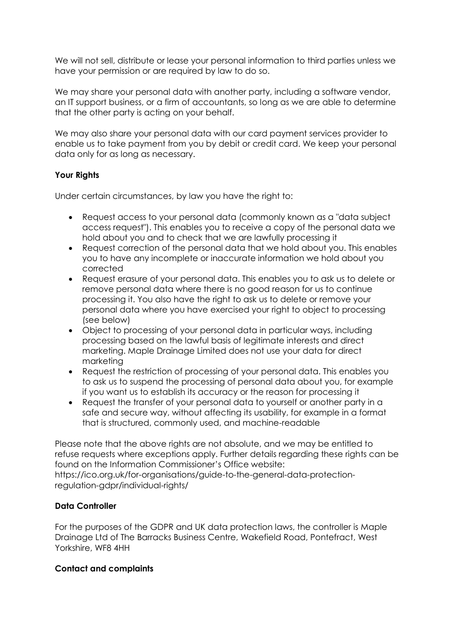We will not sell, distribute or lease your personal information to third parties unless we have your permission or are required by law to do so.

We may share your personal data with another party, including a software vendor, an IT support business, or a firm of accountants, so long as we are able to determine that the other party is acting on your behalf.

We may also share your personal data with our card payment services provider to enable us to take payment from you by debit or credit card. We keep your personal data only for as long as necessary.

# **Your Rights**

Under certain circumstances, by law you have the right to:

- Request access to your personal data (commonly known as a "data subject access request"). This enables you to receive a copy of the personal data we hold about you and to check that we are lawfully processing it
- Request correction of the personal data that we hold about you. This enables you to have any incomplete or inaccurate information we hold about you corrected
- Request erasure of your personal data. This enables you to ask us to delete or remove personal data where there is no good reason for us to continue processing it. You also have the right to ask us to delete or remove your personal data where you have exercised your right to object to processing (see below)
- Object to processing of your personal data in particular ways, including processing based on the lawful basis of legitimate interests and direct marketing. Maple Drainage Limited does not use your data for direct marketing
- Request the restriction of processing of your personal data. This enables you to ask us to suspend the processing of personal data about you, for example if you want us to establish its accuracy or the reason for processing it
- Request the transfer of your personal data to yourself or another party in a safe and secure way, without affecting its usability, for example in a format that is structured, commonly used, and machine-readable

Please note that the above rights are not absolute, and we may be entitled to refuse requests where exceptions apply. Further details regarding these rights can be found on the Information Commissioner's Office website: [https://ico.org.uk/for-organisations/guide-to-the-general-data-protection](https://ico.org.uk/for-organisations/guide-to-the-general-data-protection-regulation-gdpr/individual-rights/)[regulation-gdpr/individual-rights/](https://ico.org.uk/for-organisations/guide-to-the-general-data-protection-regulation-gdpr/individual-rights/)

### **Data Controller**

For the purposes of the GDPR and UK data protection laws, the controller is Maple Drainage Ltd of The Barracks Business Centre, Wakefield Road, Pontefract, West Yorkshire, WF8 4HH

### **Contact and complaints**